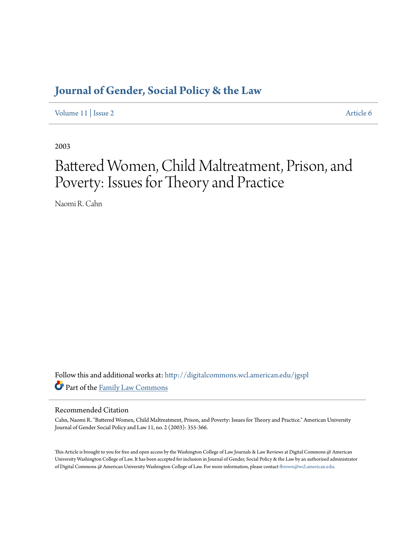# **[Journal of Gender, Social Policy & the Law](http://digitalcommons.wcl.american.edu/jgspl?utm_source=digitalcommons.wcl.american.edu%2Fjgspl%2Fvol11%2Fiss2%2F6&utm_medium=PDF&utm_campaign=PDFCoverPages)**

[Volume 11](http://digitalcommons.wcl.american.edu/jgspl/vol11?utm_source=digitalcommons.wcl.american.edu%2Fjgspl%2Fvol11%2Fiss2%2F6&utm_medium=PDF&utm_campaign=PDFCoverPages) | [Issue 2](http://digitalcommons.wcl.american.edu/jgspl/vol11/iss2?utm_source=digitalcommons.wcl.american.edu%2Fjgspl%2Fvol11%2Fiss2%2F6&utm_medium=PDF&utm_campaign=PDFCoverPages) [Article 6](http://digitalcommons.wcl.american.edu/jgspl/vol11/iss2/6?utm_source=digitalcommons.wcl.american.edu%2Fjgspl%2Fvol11%2Fiss2%2F6&utm_medium=PDF&utm_campaign=PDFCoverPages)

2003

# Battered Women, Child Maltreatment, Prison, and Poverty: Issues for Theory and Practice

Naomi R. Cahn

Follow this and additional works at: [http://digitalcommons.wcl.american.edu/jgspl](http://digitalcommons.wcl.american.edu/jgspl?utm_source=digitalcommons.wcl.american.edu%2Fjgspl%2Fvol11%2Fiss2%2F6&utm_medium=PDF&utm_campaign=PDFCoverPages) Part of the [Family Law Commons](http://network.bepress.com/hgg/discipline/602?utm_source=digitalcommons.wcl.american.edu%2Fjgspl%2Fvol11%2Fiss2%2F6&utm_medium=PDF&utm_campaign=PDFCoverPages)

### Recommended Citation

Cahn, Naomi R. "Battered Women, Child Maltreatment, Prison, and Poverty: Issues for Theory and Practice." American University Journal of Gender Social Policy and Law 11, no. 2 (2003): 355-366.

This Article is brought to you for free and open access by the Washington College of Law Journals & Law Reviews at Digital Commons @ American University Washington College of Law. It has been accepted for inclusion in Journal of Gender, Social Policy & the Law by an authorized administrator of Digital Commons @ American University Washington College of Law. For more information, please contact [fbrown@wcl.american.edu.](mailto:fbrown@wcl.american.edu)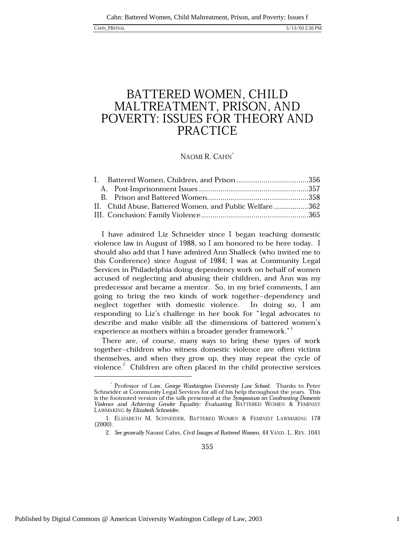## BATTERED WOMEN, CHILD MALTREATMENT, PRISON, AND POVERTY: ISSUES FOR THEORY AND **PRACTICE**

### NAOMI R. CAHN

| II. Child Abuse, Battered Women, and Public Welfare362 |  |
|--------------------------------------------------------|--|
|                                                        |  |

I have admired Liz Schneider since I began teaching domestic violence law in August of 1988, so I am honored to be here today. I should also add that I have admired Ann Shalleck (who invited me to this Conference) since August of 1984; I was at Community Legal Services in Philadelphia doing dependency work on behalf of women accused of neglecting and abusing their children, and Ann was my predecessor and became a mentor. So, in my brief comments, I am going to bring the two kinds of work together-dependency and neglect together with domestic violence. In doing so, I am responding to Liz's challenge in her book for "legal advocates to describe and make visible all the dimensions of battered women's experience as mothers within a broader gender framework."

There are, of course, many ways to bring these types of work together-children who witness domestic violence are often victims themselves, and when they grow up, they may repeat the cycle of violence.<sup>2</sup> Children are often placed in the child protective services

Professor of Law, George Washington University Law School. Thanks to Peter Schneider at Community Legal Services for all of his help throughout the years. This is the footnoted version of the talk presented at the Symposium on Confronting Domestic Violence and Achieving Gender Equality: Evaluating BATTERED WOMEN & FEMINIST LAWMAKING by Elizabeth Schneider.

<sup>1.</sup> ELIZABETH M. SCHNEIDER, BATTERED WOMEN & FEMINIST LAWMAKING 178  $(2000)$ 

<sup>2.</sup> See generally Naomi Cahn, Civil Images of Battered Women, 44 VAND. L. REV. 1041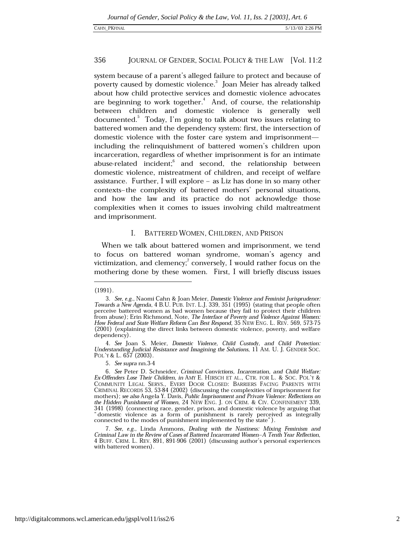#### 356 JOURNAL OF GENDER, SOCIAL POLICY & THE LAW [Vol. 11:2

system because of a parent's alleged failure to protect and because of poverty caused by domestic violence.<sup>3</sup> Joan Meier has already talked about how child protective services and domestic violence advocates are beginning to work together.<sup>4</sup> And, of course, the relationship between children and domestic violence is generally well documented.<sup>5</sup> Today, I'm going to talk about two issues relating to battered women and the dependency system: first, the intersection of domestic violence with the foster care system and imprisonmentincluding the relinguishment of battered women's children upon incarceration, regardless of whether imprisonment is for an intimate abuse-related incident;<sup>6</sup> and second, the relationship between domestic violence, mistreatment of children, and receipt of welfare assistance. Further, I will explore  $-$  as Liz has done in so many other contexts-the complexity of battered mothers' personal situations, and how the law and its practice do not acknowledge those complexities when it comes to issues involving child maltreatment and imprisonment.

#### Ι. BATTERED WOMEN, CHILDREN, AND PRISON

When we talk about battered women and imprisonment, we tend to focus on battered woman syndrome, woman's agency and victimization, and clemency; conversely, I would rather focus on the mothering done by these women. First, I will briefly discuss issues

 $(1991).$ 

<sup>3.</sup> See, e.g., Naomi Cahn & Joan Meier, Domestic Violence and Feminist Jurisprudence: Towards a New Agenda, 4 B.U. PUB. INT. L.J. 339, 351 (1995) (stating that people often Perceive battered women as bad women because they fail to protect their children<br>from abuse); Erin Richmond, Note, The Interface of Poverty and Violence Against Women: How Federal and State Welfare Reform Can Best Respond, 35 NEW ENG. L. REV. 569, 573-75 (2001) (explaining the direct links between domestic violence, poverty, and welfare dependency).

<sup>4.</sup> See Joan S. Meier, Domestic Violence, Child Custody, and Child Protection: Understanding Judicial Resistance and Imagining the Solutions, 11 AM. U. J. GENDER SOC. POL'Y & L.  $657$  (2003).

<sup>5.</sup> See supra nn.3-4

<sup>6.</sup> See Peter D. Schneider, Criminal Convictions, Incarceration, and Child Welfare: Ex-Offenders Lose Their Children, in AMY E. HIRSCH ET AL., CTR. FOR L. & SOC. POL'Y & COMMUNITY LEGAL SERVS., EVERY DOOR CLOSED: BARRIERS FACING PARENTS WITH CRIMINAL RECORDS 53, 53-84 (2002) (discussing the complexities of imprisonment for mothers); see also Angela Y. Davis, Public Imprisonment and Private Violence: Reflections on the Hidden Punishment of Women, 24 NEW ENG. J. ON CRIM. & CIV. CONFINEMENT 339, 341 (1998) (connecting race, gender, prison, and domestic violence by arguing that "domestic violence as a form of punishment is rarely perceived as integrally connected to the modes of punishment implemented by the state").

<sup>7.</sup> See, e.g., Linda Ammons, Dealing with the Nastiness: Mixing Feminism and Criminal Law in the Review of Cases of Battered Incarcerated Women-A Tenth Year Reflection, 4 BUFF. CRIM. L. REV. 891, 891-906 (2001) (discussing author's personal experiences with battered women).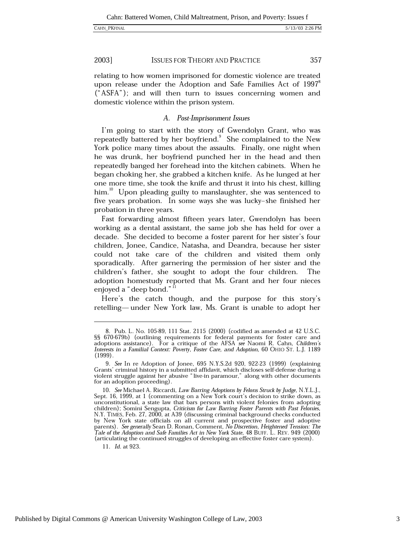2003] **ISSUES FOR THEORY AND PRACTICE** 357

relating to how women imprisoned for domestic violence are treated upon release under the Adoption and Safe Families Act of 1997<sup>8</sup> ("ASFA"); and will then turn to issues concerning women and domestic violence within the prison system.

### A. Post-Imprisonment Issues

I'm going to start with the story of Gwendolyn Grant, who was repeatedly battered by her boyfriend. She complained to the New York police many times about the assaults. Finally, one night when he was drunk, her boyfriend punched her in the head and then repeatedly banged her forehead into the kitchen cabinets. When he began choking her, she grabbed a kitchen knife. As he lunged at her one more time, she took the knife and thrust it into his chest, killing him.<sup>10</sup> Upon pleading guilty to manslaughter, she was sentenced to five years probation. In some ways she was lucky-she finished her probation in three years.

Fast forwarding almost fifteen years later, Gwendolyn has been working as a dental assistant, the same job she has held for over a decade. She decided to become a foster parent for her sister's four children, Jonee, Candice, Natasha, and Deandra, because her sister could not take care of the children and visited them only sporadically. After garnering the permission of her sister and the children's father, she sought to adopt the four children. The adoption homestudy reported that Ms. Grant and her four nieces enjoyed a "deep bond." 11

Here's the catch though, and the purpose for this story's retelling— under New York law, Ms. Grant is unable to adopt her

11. Id. at 923.

<sup>8.</sup> Pub. L. No. 105-89, 111 Stat. 2115 (2000) (codified as amended at 42 U.S.C. §§ 670-679b) (outlining requirements for federal payments for foster care and adoptions assistance). For a critique of the AFSA see Naomi R. Cahn, Children's Interests in a Familial Context: Poverty, Foster Care, and Adoption, 60 OHIO ST. L.J. 1189  $(1999)$ .

<sup>9.</sup> See In re Adoption of Jonee, 695 N.Y.S.2d 920, 922-23 (1999) (explaining Grants' criminal history in a submitted affidavit, which discloses self-defense during a violent struggle against her abusive "live-in paramour," along with other documents for an adoption proceeding).

<sup>10.</sup> See Michael A. Riccardi, Law Barring Adoptions by Felons Struck by Judge, N.Y.L.J., Sept. 16, 1999, at 1 (commenting on a New York court's decision to strike down, as unconstitutional, a state law that bars persons with violent felonies from adopting children); Somini Sengupta, Criticism for Law Barring Foster Parents with Past Felonies, N.Y. TIMES, Feb. 27, 2000, at A39 (discussing criminal background checks conducted by New York state officials on all current and prospective foster and adoptive<br>parents). See generally Sean D. Ronan, Comment, No Discretion, Heightened Tension: The<br>Tale of the Adoptive Tale Tale of the Adoption and Safe Families Act in New York State, 48 BUFF. L. REV. 949 (2000) (articulating the continued struggles of developing an effective foster care system).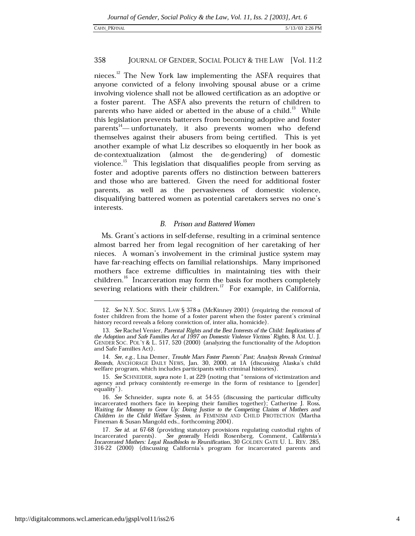#### 358 JOURNAL OF GENDER, SOCIAL POLICY & THE LAW [Vol. 11:2

nieces.<sup>12</sup> The New York law implementing the ASFA requires that anyone convicted of a felony involving spousal abuse or a crime involving violence shall not be allowed certification as an adoptive or a foster parent. The ASFA also prevents the return of children to parents who have aided or abetted in the abuse of a child.<sup>13</sup> While this legislation prevents batterers from becoming adoptive and foster parents<sup>14</sup>—unfortunately, it also prevents women who defend themselves against their abusers from being certified. This is yet another example of what Liz describes so eloquently in her book as de-contextualization (almost the de-gendering) of domestic violence.<sup>15</sup> This legislation that disqualifies people from serving as foster and adoptive parents offers no distinction between batterers and those who are battered. Given the need for additional foster parents, as well as the pervasiveness of domestic violence, disqualifying battered women as potential caretakers serves no one's interests.

### **B.** Prison and Battered Women

Ms. Grant's actions in self-defense, resulting in a criminal sentence almost barred her from legal recognition of her caretaking of her nieces. A woman's involvement in the criminal justice system may have far-reaching effects on familial relationships. Many imprisoned mothers face extreme difficulties in maintaining ties with their children.<sup>16</sup> Incarceration may form the basis for mothers completely severing relations with their children.<sup>17</sup> For example, in California,

<sup>12.</sup> See N.Y. SOC. SERVS. LAW § 378-a (McKinney 2001) (requiring the removal of foster children from the home of a foster parent when the foster parent's criminal history record reveals a felony conviction of, inter alia, homicide).

<sup>13.</sup> See Rachel Venier, Parental Rights and the Best Interests of the Child: Implications of the Adoption and Safe Families Act of 1997 on Domestic Violence Victims' Rights, 8 AM. U. J. GENDER SOC. POL'Y & L. 517, 520 (2000) (analyzing the functionality of the Adoption and Safe Families Act).

<sup>14.</sup> See, e.g., Lisa Demer, Trouble Mars Foster Parents' Past; Analysis Reveals Criminal Records, ANCHORAGE DAILY NEWS, Jan. 30, 2000, at 1A (discussing Alaska's child welfare program, which includes participants with criminal histories).

<sup>15.</sup> See SCHNEIDER, supra note 1, at 229 (noting that "tensions of victimization and agency and privacy consistently re-emerge in the form of resistance to [gender] equality").

<sup>16.</sup> See Schneider, supra note 6, at 54-55 (discussing the particular difficulty incarcerated mothers face in keeping their families together); Catherine J. Ross, Waiting for Mommy to Grow Up: Doing Justice to the Competing Claims of Mothers and Children in the Child Welfare System, in FEMINISM AND CHILD PROTECTION (Martha Fineman & Susan Mangold eds., forthcoming 2004).

<sup>17.</sup> See id. at 67-68 (providing statutory provisions regulating custodial rights of incarcerated parents). See generally Heidi Rosenberg, Comment, California's<br>Incarcerated Mothers: Legal Roadblocks to Reunification, 30 GOLDEN GATE U. L. REV. 285, 316-22 (2000) (discussing California's program for incarcerated parents and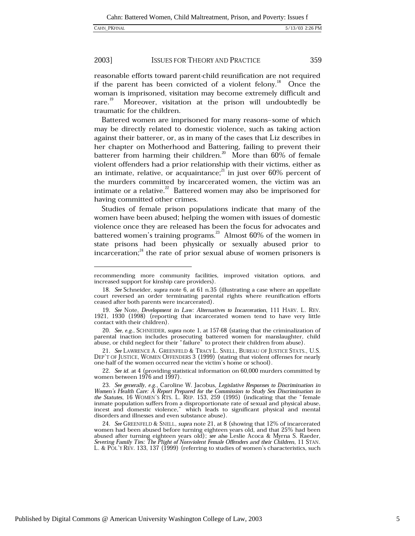#### 2003] **ISSUES FOR THEORY AND PRACTICE** 359

reasonable efforts toward parent-child reunification are not required if the parent has been convicted of a violent felony.<sup>18</sup> Once the woman is imprisoned, visitation may become extremely difficult and  $rare.<sup>19</sup>$ Moreover, visitation at the prison will undoubtedly be traumatic for the children.

Battered women are imprisoned for many reasons-some of which may be directly related to domestic violence, such as taking action against their batterer, or, as in many of the cases that Liz describes in her chapter on Motherhood and Battering, failing to prevent their batterer from harming their children.<sup>20</sup> More than  $60\%$  of female violent offenders had a prior relationship with their victims, either as an intimate, relative, or acquaintance;<sup>21</sup> in just over 60% percent of the murders committed by incarcerated women, the victim was an intimate or a relative. $^{22}$  Battered women may also be imprisoned for having committed other crimes.

Studies of female prison populations indicate that many of the women have been abused; helping the women with issues of domestic violence once they are released has been the focus for advocates and battered women's training programs.<sup>23</sup> Almost  $60\%$  of the women in state prisons had been physically or sexually abused prior to incarceration; $^{24}$  the rate of prior sexual abuse of women prisoners is

20. See, e.g., SCHNEIDER, supra note 1, at 157-68 (stating that the criminalization of parental inaction includes prosecuting battered women for manslaughter, child abuse, or child neglect for their "failure" to protect their children from abuse).

21. See LAWRENCE A. GREENFELD & TRACY L. SNELL, BUREAU OF JUSTICE STATS., U.S. DEP'T OF JUSTICE, WOMEN OFFENDERS 3 (1999) (stating that violent offenses for nearly one-half of the women occurred near the victim's home or school).

22. See id. at 4 (providing statistical information on 60,000 murders committed by women between 1976 and 1997).

24. See GREENFELD & SNELL, supra note 21, at 8 (showing that 12% of incarcerated women had been abused before turning eighteen years old, and that 25% had been abused after turning eighteen years old); see also Leslie Acoca & Myrna S. Raeder, Severing Family Ties: The Plight of Nonviolent Female Offenders and their Children, 11 STAN. L. & POL'Y REV. 133, 137 (1999) (referring to studies of women's characteristics, such

recommending more community facilities, improved visitation options, and increased support for kinship care providers).

<sup>18.</sup> See Schneider, supra note 6, at 61 n.35 (illustrating a case where an appellate court reversed an order terminating parental rights where reunification efforts ceased after both parents were incarcerated).

<sup>19.</sup> See Note, Development in Law: Alternatives to Incarceration, 111 HARV. L. REV. 1921, 1930 (1998) (reporting that incarcerated women tend to have very little contact with their children).

<sup>23.</sup> See generally, e.g., Caroline W. Jacobus, Legislative Responses to Discrimination in Women's Health Care: A Report Prepared for the Commission to Study Sex Discrimination in the Statutes, 16 WOMEN's RTS. L. REP. 153, 259 (1995) (indicating that the "female inmate population suffers from a disproportionate rate of sexual and physical abuse, incest and domestic violence," which leads to significant physical and mental disorders and illnesses and even substance abuse).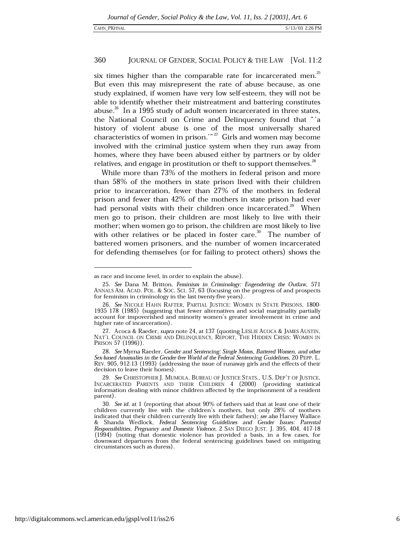#### 360 JOURNAL OF GENDER, SOCIAL POLICY & THE LAW [Vol. 11:2

six times higher than the comparable rate for incarcerated men.<sup>25</sup> But even this may misrepresent the rate of abuse because, as one study explained, if women have very low self-esteem, they will not be able to identify whether their mistreatment and battering constitutes abuse.<sup>26</sup> In a 1995 study of adult women incarcerated in three states, the National Council on Crime and Delinquency found that "'a history of violent abuse is one of the most universally shared characteristics of women in prison." $27$  Girls and women may become involved with the criminal justice system when they run away from homes, where they have been abused either by partners or by older relatives, and engage in prostitution or theft to support themselves.<sup>28</sup>

While more than 73% of the mothers in federal prison and more than 58% of the mothers in state prison lived with their children prior to incarceration, fewer than 27% of the mothers in federal prison and fewer than 42% of the mothers in state prison had ever had personal visits with their children once incarcerated.<sup>29</sup> When men go to prison, their children are most likely to live with their mother; when women go to prison, the children are most likely to live with other relatives or be placed in foster care.<sup>30</sup> The number of battered women prisoners, and the number of women incarcerated for defending themselves (or for failing to protect others) shows the

as race and income level, in order to explain the abuse).

<sup>25.</sup> See Dana M. Britton, Feminism in Criminology: Engendering the Outlaw, 571 ANNALS AM. ACAD. POL. & SOC. SCI. 57, 63 (focusing on the progress of and prospects for feminism in criminology in the last twenty-five years).

<sup>26.</sup> See NICOLE HAHN RAFTER, PARTIAL JUSTICE: WOMEN IN STATE PRISONS, 1800-1935 178 (1985) (suggesting that fewer alternatives and social marginality partially account for impoverished and minority women's greater involvement in crime and higher rate of incarceration).

<sup>27.</sup> Acoca & Raeder, supra note 24, at 137 (quoting LESLIE ACOCA & JAMES AUSTIN, NAT'L COUNCIL ON CRIME AND DELINQUENCY, REPORT, THE HIDDEN CRISIS: WOMEN IN PRISON 57 (1996)).

<sup>28.</sup> See Myrna Raeder, Gender and Sentencing: Single Moms, Battered Women, and other Sex-based Anomalies in the Gender-free World of the Federal Sentencing Guidelines, 20 PEPP. L. REV. 905, 912-13 (1993) (addressing the issue of runaway girls and the effects of their decision to leave their homes).

<sup>29.</sup> See CHRISTOPHER J. MUMOLA, BUREAU OF JUSTICE STATS., U.S. DEP'T OF JUSTICE, INCARCERATED PARENTS AND THEIR CHILDREN 4 (2000) (providing statistical information dealing with minor children affected by the imprisonment of a resident parent).

<sup>30.</sup> See id. at 1 (reporting that about 90% of fathers said that at least one of their children currently live with the children's mothers, but only 28% of mothers indicated that their children currently live with their fathers); see also Harvey Wallace & Shanda Wedlock, Federal Sentencing Guidelines and Gender Issues: Parental Responsibilities, Pregnancy and Domestic Violence, 2 SAN DIEGO JUST. J. 395, 404, 417-18 (1994) (noting that domestic violence has provided a basis, in a few cases, for downward departures from the federal sentencing guidelines based on mitigating circumstances such as duress).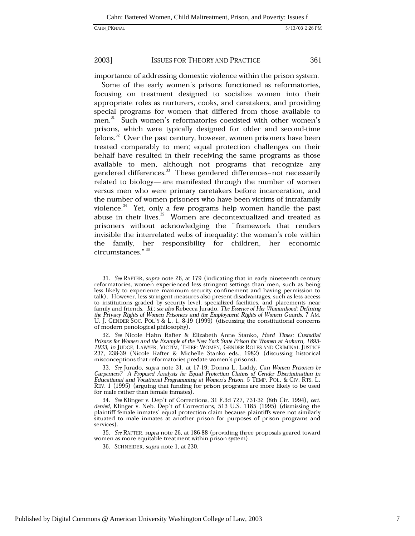361

#### 2003] **ISSUES FOR THEORY AND PRACTICE**

importance of addressing domestic violence within the prison system.

Some of the early women's prisons functioned as reformatories, focusing on treatment designed to socialize women into their appropriate roles as nurturers, cooks, and caretakers, and providing special programs for women that differed from those available to men.<sup>31</sup> Such women's reformatories coexisted with other women's prisons, which were typically designed for older and second-time felons.<sup>32</sup> Over the past century, however, women prisoners have been treated comparably to men; equal protection challenges on their behalf have resulted in their receiving the same programs as those available to men, although not programs that recognize any gendered differences.<sup>33</sup> These gendered differences–not necessarily related to biology—are manifested through the number of women versus men who were primary caretakers before incarceration, and the number of women prisoners who have been victims of intrafamily violence.<sup>34</sup> Yet, only a few programs help women handle the past abuse in their lives.<sup>35</sup> Women are decontextualized and treated as prisoners without acknowledging the "framework that renders invisible the interrelated webs of inequality: the woman's role within the family, her responsibility for children, her economic circumstances." 36

<sup>31.</sup> See RAFTER, supra note 26, at 179 (indicating that in early nineteenth century reformatories, women experienced less stringent settings than men, such as being less likely to experience maximum security confinement and having permission to talk). However, less stringent measures also present disadvantages, such as less access to institutions graded by security level, specialized facilities, and placements near family and friends. Id.; see also Rebecca Jurado, The Essence of Her Womanhood: Defining the Privacy Rights of Women Prisoners and the Employment Rights of Women Guards, 7 AM.<br>U. J. GENDER SOC. POL'Y & L. 1, 8-19 (1999) (discussing the constitutional concerns of modern penological philosophy).

<sup>32.</sup> See Nicole Hahn Rafter & Elizabeth Anne Stanko, Hard Times: Custodial Prisons for Women and the Example of the New York State Prison for Women at Auburn, 1893-1933, in JUDGE, LAWYER, VICTIM, THIEF: WOMEN, GENDER ROLES AND CRIMINAL JUSTICE 237, 238-39 (Nicole Rafter & Michelle Stanko eds., 1982) (discussing historical misconceptions that reformatories predate women's prisons).

<sup>33.</sup> See Jurado, supra note 31, at 17-19; Donna L. Laddy, Can Women Prisoners be Carpenters? A Proposed Analysis for Equal Protection Claims of Gender Discrimination in Educational and Vocational Programming at Women's Prison, 5 TEMP. POL. & CIV. RTS. L. REV. 1 (1995) (arguing that funding for prison programs are more likely to be used for male rather than female inmates).

<sup>34.</sup> See Klinger v. Dep't of Corrections, 31 F.3d 727, 731-32 (8th Cir. 1994), cert. denied, Klinger v. Neb. Dep't of Corrections, 513 U.S. 1185 (1995) (dismissing the plaintiff female inmates' equal protection claim because plaintiffs were not similarly situated to male inmates at another prison for purposes of prison programs and services).

<sup>35.</sup> See RAFTER, supra note 26, at 186-88 (providing three proposals geared toward women as more equitable treatment within prison system).

<sup>36.</sup> SCHNEIDER, supra note 1, at 230.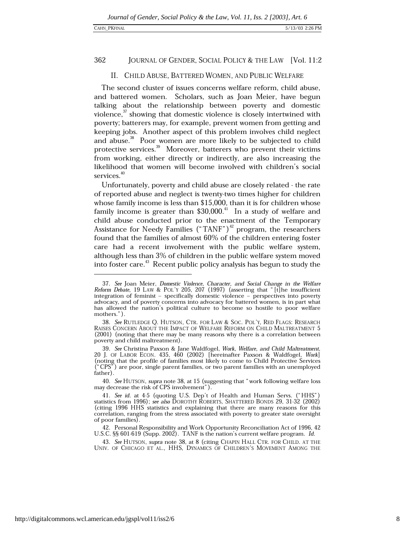#### 362 JOURNAL OF GENDER, SOCIAL POLICY & THE LAW [Vol. 11:2

### II. CHILD ABUSE, BATTERED WOMEN, AND PUBLIC WELFARE

The second cluster of issues concerns welfare reform, child abuse, and battered women. Scholars, such as Joan Meier, have begun talking about the relationship between poverty and domestic violence,<sup>37</sup> showing that domestic violence is closely intertwined with poverty; batterers may, for example, prevent women from getting and keeping jobs. Another aspect of this problem involves child neglect and abuse.<sup>38</sup> Poor women are more likely to be subjected to child protective services.<sup>39</sup> Moreover, batterers who prevent their victims from working, either directly or indirectly, are also increasing the likelihood that women will become involved with children's social services.<sup>40</sup>

Unfortunately, poverty and child abuse are closely related - the rate of reported abuse and neglect is twenty-two times higher for children whose family income is less than \$15,000, than it is for children whose family income is greater than  $$30,000$ .<sup>41</sup> In a study of welfare and child abuse conducted prior to the enactment of the Temporary Assistance for Needy Families ("TANF")<sup>42</sup> program, the researchers found that the families of almost 60% of the children entering foster care had a recent involvement with the public welfare system, although less than 3% of children in the public welfare system moved into foster care.<sup>43</sup> Recent public policy analysis has begun to study the

40. See HUTSON, supra note 38, at 15 (suggesting that "work following welfare loss may decrease the risk of CPS involvement").

42. Personal Responsibility and Work Opportunity Reconciliation Act of 1996, 42 U.S.C. §§ 601-619 (Supp. 2002). TANF is the nation's current welfare program. Id.

43. See HUTSON, supra note 38, at 8 (citing CHAPIN HALL CTR. FOR CHILD. AT THE UNIV. OF CHICAGO ET AL., HHS, DYNAMICS OF CHILDREN'S MOVEMENT AMONG THE

<sup>37.</sup> See Joan Meier, Domestic Violence, Character, and Social Change in the Welfare Reform Debate, 19 LAW & POL'Y 205, 207 (1997) (asserting that "[t] he insufficient integration of feminist - specifically domestic violence - perspectives into poverty advocacy, and of poverty concerns into advocacy for battered women, is in part what has allowed the nation's political culture to become so hostile to poor welfare mothers.").

<sup>38.</sup> See RUTLEDGE Q. HUTSON, CTR. FOR LAW & SOC. POL'Y, RED FLAGS: RESEARCH RAISES CONCERN ABOUT THE IMPACT OF WELFARE REFORM ON CHILD MALTREATMENT 5 (2001) (noting that there may be many reasons why there is a correlation between poverty and child maltreatment).

<sup>39.</sup> See Christina Paxson & Jane Waldfogel, Work, Welfare, and Child Maltreatment, 20 J. OF LABOR ECON. 435, 460 (2002) [hereinafter Paxson & Waldfogel, Work] (noting that the profile of families most likely to come to Child Protective Services ("CPS") are poor, single parent families, or two parent families with an unemployed father).

<sup>41.</sup> See id. at 4-5 (quoting U.S. Dep't of Health and Human Servs. ("HHS") statistics from 1996); see also DOROTHY ROBERTS, SHATTERED BONDS 29, 31-32 (2002) (citing 1996 HHS statistics and explaining that there are many reasons for this correlation, ranging from the stress associated with poverty to greater state oversight of poor families).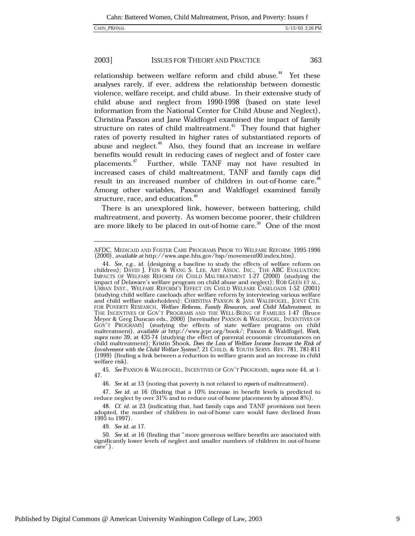#### 2003] **ISSUES FOR THEORY AND PRACTICE** 363

relationship between welfare reform and child abuse.<sup>44</sup> Yet these analyses rarely, if ever, address the relationship between domestic violence, welfare receipt, and child abuse. In their extensive study of child abuse and neglect from 1990-1998 (based on state level information from the National Center for Child Abuse and Neglect), Christina Paxson and Jane Waldfogel examined the impact of family structure on rates of child maltreatment.<sup>45</sup> They found that higher rates of poverty resulted in higher rates of substantiated reports of abuse and neglect.<sup>46</sup> Also, they found that an increase in welfare benefits would result in reducing cases of neglect and of foster care placements.<sup>47</sup> Further, while TANF may not have resulted in increased cases of child maltreatment, TANF and family caps did result in an increased number of children in out-of-home care.<sup>48</sup> Among other variables, Paxson and Waldfogel examined family structure, race, and education.<sup>49</sup>

There is an unexplored link, however, between battering, child maltreatment, and poverty. As women become poorer, their children are more likely to be placed in out-of-home care.<sup>50</sup> One of the most

49. See id. at 17.

AFDC, MEDICAID AND FOSTER CARE PROGRAMS PRIOR TO WELFARE REFORM: 1995-1996 (2000), available at http://www.aspe.hhs.gov/hsp/movement00.index.htm).

<sup>44.</sup> See, e.g., id. (designing a baseline to study the effects of welfare reform on children); DAVID J. FEIN & WANG S. LEE, ABT ASSOC. INC., THE ABC EVALUATION: IMPACTS OF WELFARE REFORM ON CHILD MALTREATMENT 1-27 (2000) (studying the impact of Delaware's welfare program on child abuse and neglect); ROB GEEN ET AL., URBAN INST., WELFARE REFORM'S EFFECT ON CHILD WELFARE CASELOADS 1-52 (2001) (studying child welfare caseloads after welfare reform by interviewing various welfare and child welfare stakeholders); CHRISTINA PAXSON & JANE WALDFOGEL, JOINT CTR. FOR POVERTY RESEARCH, Welfare Reforms, Family Resources, and Child Maltreatment, in THE INCENTIVES OF GOV'T PROGRAMS AND THE WELL-BEING OF FAMILIES 1-47 (Bruce Meyer & Greg Duncan eds., 2000) [hereinafter PAXSON & WALDFOGEL, INCENTIVES OF GOV'T PROGRAMS] (studying the effects of state welfare programs on child maltreatment), available at http://www.jcpr.org/book/; Paxson & Waldfogel, Work, supra note 39, at 435-74 (studying the effect of parental economic circumstances on child maltreatment); Kristin Šhook, Does the Loss of Welfare Income Increase the Risk of Involvement with the Child Welfare System?, 21 CHILD. & YOUTH SERVS. REV. 781, 781-811 (1999) (finding a link between a reduction in welfare grants and an increase in child welfare risk).

<sup>45.</sup> See PAXSON & WALDFOGEL, INCENTIVES OF GOV'T PROGRAMS, supra note 44, at 1-47.

<sup>46.</sup> See id. at 13 (noting that poverty is not related to reports of maltreatment).

<sup>47.</sup> See id. at 16 (finding that a 10% increase in benefit levels is predicted to reduce neglect by over 31% and to reduce out-of-home placements by almost 8%).

<sup>48.</sup> Cf. id. at 23 (indicating that, had family caps and TANF provisions not been adopted, the number of children in out-of-home care would have declined from 1995 to 1997).

<sup>50.</sup> See id. at 16 (finding that "more generous welfare benefits are associated with significantly lower levels of neglect and smaller numbers of children in out-of-home care").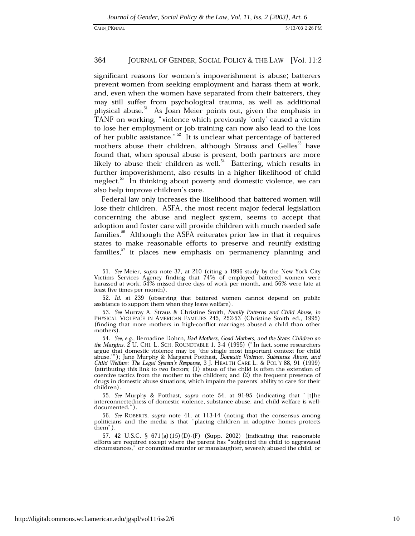#### 364 JOURNAL OF GENDER, SOCIAL POLICY & THE LAW [Vol. 11:2

significant reasons for women's impoverishment is abuse; batterers prevent women from seeking employment and harass them at work, and, even when the women have separated from their batterers, they may still suffer from psychological trauma, as well as additional physical abuse.<sup>51</sup> As Joan Meier points out, given the emphasis in TANF on working, "violence which previously 'only' caused a victim to lose her employment or job training can now also lead to the loss of her public assistance."<sup>52</sup> It is unclear what percentage of battered mothers abuse their children, although Strauss and Gelles<sup>53</sup> have found that, when spousal abuse is present, both partners are more likely to abuse their children as well.<sup>54</sup> Battering, which results in further impoverishment, also results in a higher likelihood of child neglect.<sup>35</sup> In thinking about poverty and domestic violence, we can also help improve children's care.

Federal law only increases the likelihood that battered women will lose their children. ASFA, the most recent major federal legislation concerning the abuse and neglect system, seems to accept that adoption and foster care will provide children with much needed safe families.<sup>56</sup> Although the ASFA reiterates prior law in that it requires states to make reasonable efforts to preserve and reunify existing families,<sup>57</sup> it places new emphasis on permanency planning and

<sup>51.</sup> See Meier, supra note 37, at 210 (citing a 1996 study by the New York City Victims Services Agency finding that 74% of employed battered women were harassed at work; 54% missed three days of work per month, and 56% were late at least five times per month).

<sup>52.</sup> Id. at 239 (observing that battered women cannot depend on public assistance to support them when they leave welfare).

<sup>53.</sup> See Murray A. Straus & Christine Smith, Family Patterns and Child Abuse, in PHYSICAL VIOLENCE IN AMERICAN FAMILIES 245, 252-53 (Christine Smith ed., 1995) (finding that more mothers in high-conflict marriages abused a child than other mothers).

<sup>54.</sup> See, e.g., Bernadine Dohrn, Bad Mothers, Good Mothers, and the State: Children on the Margins,  $\tilde{2}$  U. CHI. L. SCH. ROUNDTABLE 1, 3-4 (1995) ("In fact, some researchers argue that domestic violence may be 'the single most important context for child<br>abuse.""); Jane Murphy & Margaret Potthast, *Domestic Violence*, *Substance Abuse*, and Child Welfare: The Legal System's Response, 3 J. HEALTH CARE L. & POL'Y 88, 91 (1999) (attributing this link to two factors; (1) abuse of the child is often the extension of coercive tactics from the mother to the children; and (2) the frequent presence of drugs in domestic abuse situations, which impairs the parents' ability to care for their children).

<sup>55.</sup> See Murphy & Potthast, supra note 54, at 91-95 (indicating that "[t]he interconnectedness of domestic violence, substance abuse, and child welfare is welldocumented.").

<sup>56.</sup> See ROBERTS, supra note 41, at 113-14 (noting that the consensus among politicians and the media is that "placing children in adoptive homes protects them").

<sup>57. 42</sup> U.S.C. § 671(a)(15)(D)-(F) (Supp. 2002) (indicating that reasonable efforts are required except where the parent has "subjected the child to aggravated circumstances," or committed murder or manslaughter, severely abused the child, or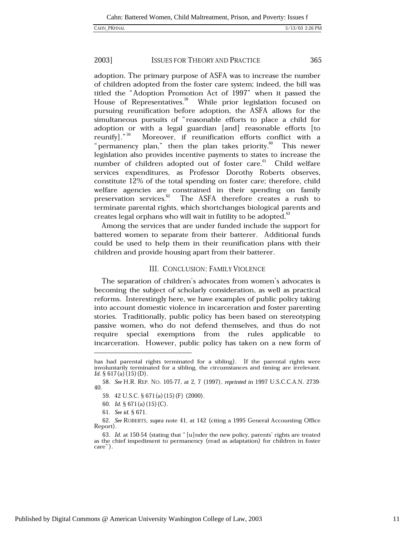365

#### 2003] **ISSUES FOR THEORY AND PRACTICE**

adoption. The primary purpose of ASFA was to increase the number of children adopted from the foster care system; indeed, the bill was titled the "Adoption Promotion Act of 1997" when it passed the House of Representatives.<sup>58</sup> While prior legislation focused on pursuing reunification before adoption, the ASFA allows for the simultaneous pursuits of "reasonable efforts to place a child for adoption or with a legal guardian [and] reasonable efforts [to reunify]."<sup>59</sup> Moreover, if reunification efforts conflict with a "permanency plan," then the plan takes priority.<sup>60</sup> This newer legislation also provides incentive payments to states to increase the number of children adopted out of foster care.<sup>61</sup> Child welfare services expenditures, as Professor Dorothy Roberts observes, constitute 12% of the total spending on foster care; therefore, child welfare agencies are constrained in their spending on family preservation services.<sup>62</sup> The ASFA therefore creates a rush to terminate parental rights, which shortchanges biological parents and creates legal orphans who will wait in futility to be adopted.<sup>63</sup>

Among the services that are under funded include the support for battered women to separate from their batterer. Additional funds could be used to help them in their reunification plans with their children and provide housing apart from their batterer.

### **III. CONCLUSION: FAMILY VIOLENCE**

The separation of children's advocates from women's advocates is becoming the subject of scholarly consideration, as well as practical reforms. Interestingly here, we have examples of public policy taking into account domestic violence in incarceration and foster parenting stories. Traditionally, public policy has been based on stereotyping passive women, who do not defend themselves, and thus do not special exemptions from the rules applicable to require incarceration. However, public policy has taken on a new form of

has had parental rights terminated for a sibling). If the parental rights were involuntarily terminated for a sibling, the circumstances and timing are irrelevant. *Id.* § 617(a)  $(15)(D)$ .

<sup>58.</sup> See H.R. REP. NO. 105-77, at 2, 7 (1997), reprinted in 1997 U.S.C.C.A.N. 2739-40.

<sup>59. 42</sup> U.S.C. § 671(a) (15) (F) (2000).

<sup>60.</sup> *Id.* §  $671(a)(15)(C)$ .

<sup>61.</sup> See id. § 671.

<sup>62.</sup> See ROBERTS, supra note 41, at 142 (citing a 1995 General Accounting Office Report).

<sup>63.</sup> Id. at 150-54 (stating that "[u]nder the new policy, parents' rights are treated as the chief impediment to permanency (read as adaptation) for children in foster care").